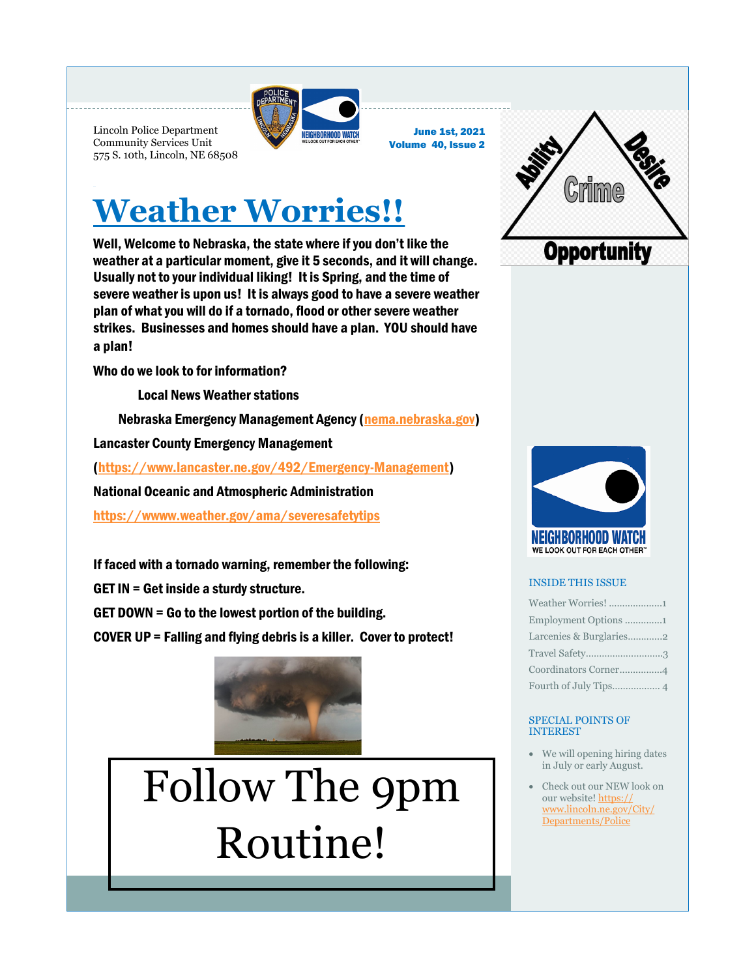

June 1st, 2021 Volume 40, Issue 2

## **Weather Worries!!**

Well, Welcome to Nebraska, the state where if you don't like the weather at a particular moment, give it 5 seconds, and it will change. Usually not to your individual liking! It is Spring, and the time of severe weather is upon us! It is always good to have a severe weather plan of what you will do if a tornado, flood or other severe weather strikes. Businesses and homes should have a plan. YOU should have a plan!

Who do we look to for information?

<span id="page-0-0"></span>Lincoln Police Department Community Services Unit 575 S. 10th, Lincoln, NE 68508

Local News Weather stations

Nebraska Emergency Management Agency [\(nema.nebraska.gov\)](#page-0-0)

Lancaster County Emergency Management

([https://www.lancaster.ne.gov/492/Emergency-Management\)](#page-0-0)

National Oceanic and Atmospheric Administration

[https://wwww.weather.gov/ama/severesafetytips](#page-0-0)

If faced with a tornado warning, remember the following:

GET IN = Get inside a sturdy structure.

GET DOWN = Go to the lowest portion of the building.

COVER UP = Falling and flying debris is a killer. Cover to protect!



# Follow The 9pm Routine!





### INSIDE THIS ISSUE

| Weather Worries! 1      |
|-------------------------|
| Employment Options 1    |
| Larcenies & Burglaries2 |
| Travel Safety3          |
| Coordinators Corner4    |
|                         |

#### SPECIAL POINTS OF INTEREST

- We will opening hiring dates in July or early August.
- Check out our NEW look on our website! [https://](https://www.lincoln.ne.gov/City/Departments/Police) [www.lincoln.ne.gov/City/](https://www.lincoln.ne.gov/City/Departments/Police) [Departments/Police](https://www.lincoln.ne.gov/City/Departments/Police)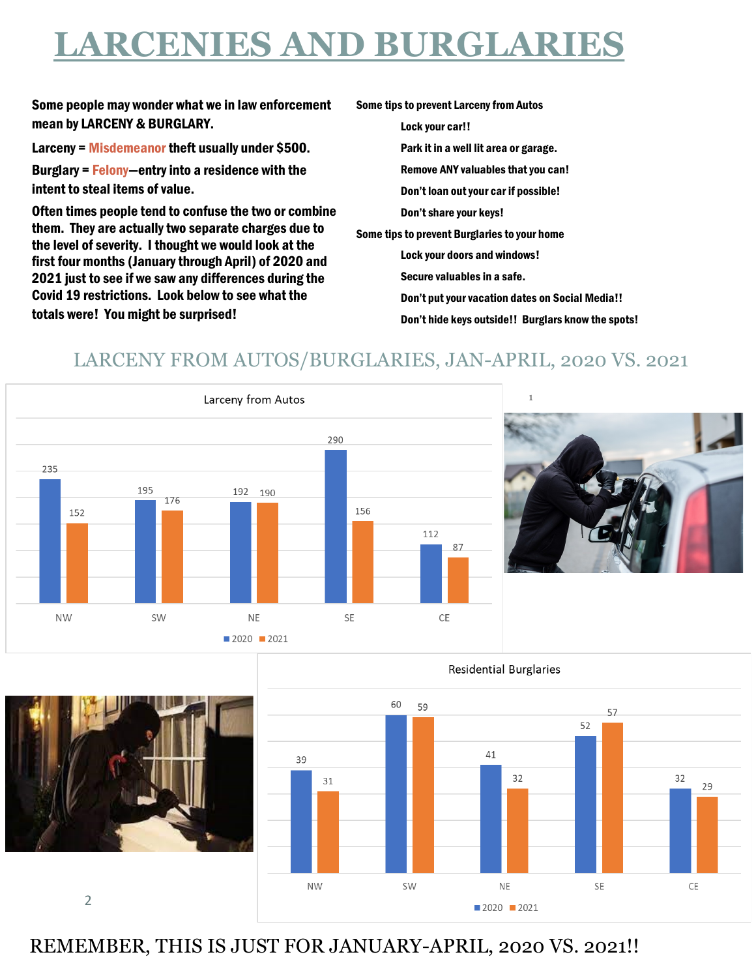## **LARCENIES AND BURGLARIES**

Some people may wonder what we in law enforcement mean by LARCENY & BURGLARY.

Larceny = Misdemeanor theft usually under \$500.

Burglary = Felony—entry into a residence with the intent to steal items of value.

Often times people tend to confuse the two or combine them. They are actually two separate charges due to the level of severity. I thought we would look at the first four months (January through April) of 2020 and 2021 just to see if we saw any differences during the Covid 19 restrictions. Look below to see what the totals were! You might be surprised!

Some tips to prevent Larceny from Autos Lock your car!! Park it in a well lit area or garage. Remove ANY valuables that you can! Don't loan out your car if possible! Don't share your keys! Some tips to prevent Burglaries to your home Lock your doors and windows! Secure valuables in a safe. Don't put your vacation dates on Social Media!! Don't hide keys outside!! Burglars know the spots!

### LARCENY FROM AUTOS/BURGLARIES, JAN-APRIL, 2020 VS. 2021







2



REMEMBER, THIS IS JUST FOR JANUARY-APRIL, 2020 VS. 2021!!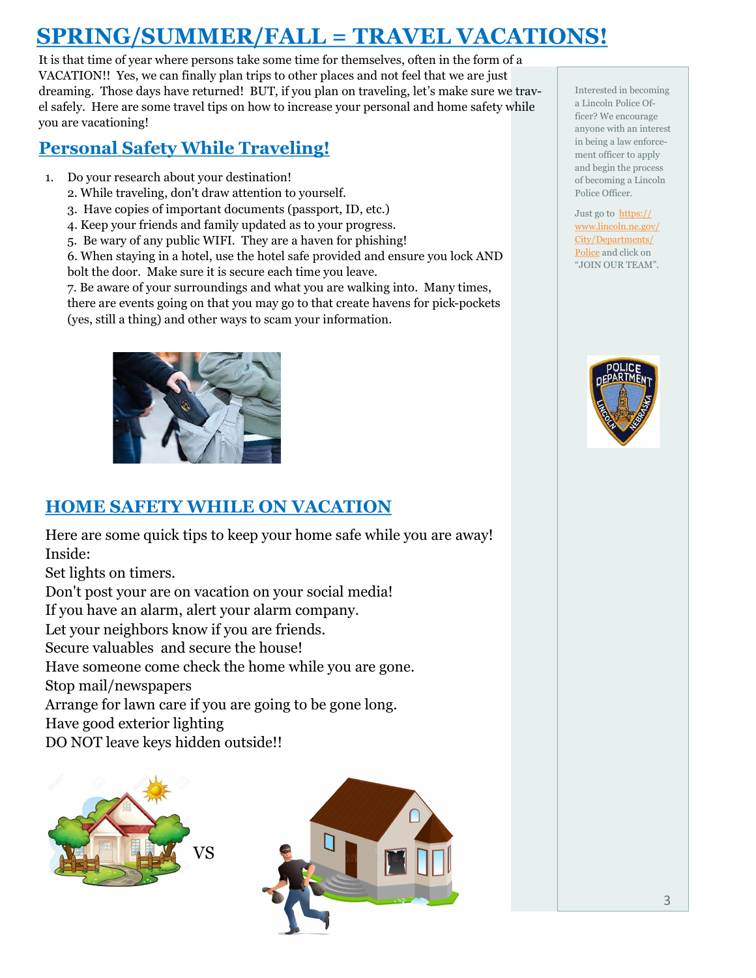### **SPRING/SUMMER/FALL = TRAVEL VACATIONS!**

It is that time of year where persons take some time for themselves, often in the form of a VACATION!! Yes, we can finally plan trips to other places and not feel that we are just dreaming. Those days have returned! BUT, if you plan on traveling, let's make sure we travel safely. Here are some travel tips on how to increase your personal and home safety while you are vacationing!

### **Personal Safety While Traveling!**

- 1. Do your research about your destination!
	- 2. While traveling, don't draw attention to yourself.
	- 3. Have copies of important documents (passport, ID, etc.)
	- 4. Keep your friends and family updated as to your progress.
	- 5. Be wary of any public WIFI. They are a haven for phishing!

6. When staying in a hotel, use the hotel safe provided and ensure you lock AND bolt the door. Make sure it is secure each time you leave.

7. Be aware of your surroundings and what you are walking into. Many times,

there are events going on that you may go to that create havens for pick-pockets (yes, still a thing) and other ways to scam your information.



### **HOME SAFETY WHILE ON VACATION**

Here are some quick tips to keep your home safe while you are away! Inside:

Set lights on timers.

Don't post your are on vacation on your social media!

If you have an alarm, alert your alarm company.

Let your neighbors know if you are friends.

Secure valuables and secure the house!

Have someone come check the home while you are gone.

Stop mail/newspapers

Arrange for lawn care if you are going to be gone long.

Have good exterior lighting

DO NOT leave keys hidden outside!!





Interested in becoming a Lincoln Police Officer? We encourage anyone with an interest in being a law enforcement officer to apply and begin the process of becoming a Lincoln Police Officer.

Just go to [https://](https://www.lincoln.ne.gov/City/Departments/Police) [www.lincoln.ne.gov/](https://www.lincoln.ne.gov/City/Departments/Police) [City/Departments/](https://www.lincoln.ne.gov/City/Departments/Police) [Police](https://www.lincoln.ne.gov/City/Departments/Police) and click on "JOIN OUR TEAM".